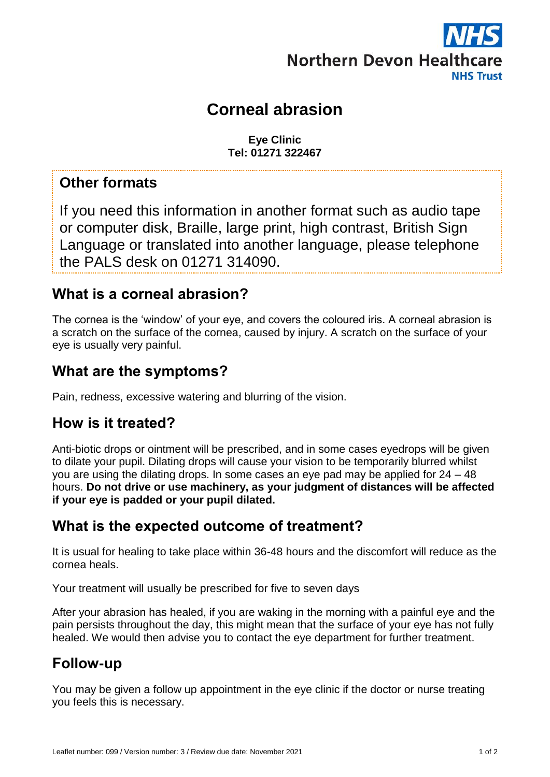

# **Corneal abrasion**

**Eye Clinic Tel: 01271 322467**

### **Other formats**

If you need this information in another format such as audio tape or computer disk, Braille, large print, high contrast, British Sign Language or translated into another language, please telephone the PALS desk on 01271 314090.

#### **What is a corneal abrasion?**

The cornea is the 'window' of your eye, and covers the coloured iris. A corneal abrasion is a scratch on the surface of the cornea, caused by injury. A scratch on the surface of your eye is usually very painful.

# **What are the symptoms?**

Pain, redness, excessive watering and blurring of the vision.

#### **How is it treated?**

Anti-biotic drops or ointment will be prescribed, and in some cases eyedrops will be given to dilate your pupil. Dilating drops will cause your vision to be temporarily blurred whilst you are using the dilating drops. In some cases an eye pad may be applied for 24 – 48 hours. **Do not drive or use machinery, as your judgment of distances will be affected if your eye is padded or your pupil dilated.**

# **What is the expected outcome of treatment?**

It is usual for healing to take place within 36-48 hours and the discomfort will reduce as the cornea heals.

Your treatment will usually be prescribed for five to seven days

After your abrasion has healed, if you are waking in the morning with a painful eye and the pain persists throughout the day, this might mean that the surface of your eye has not fully healed. We would then advise you to contact the eye department for further treatment.

# **Follow-up**

You may be given a follow up appointment in the eye clinic if the doctor or nurse treating you feels this is necessary.